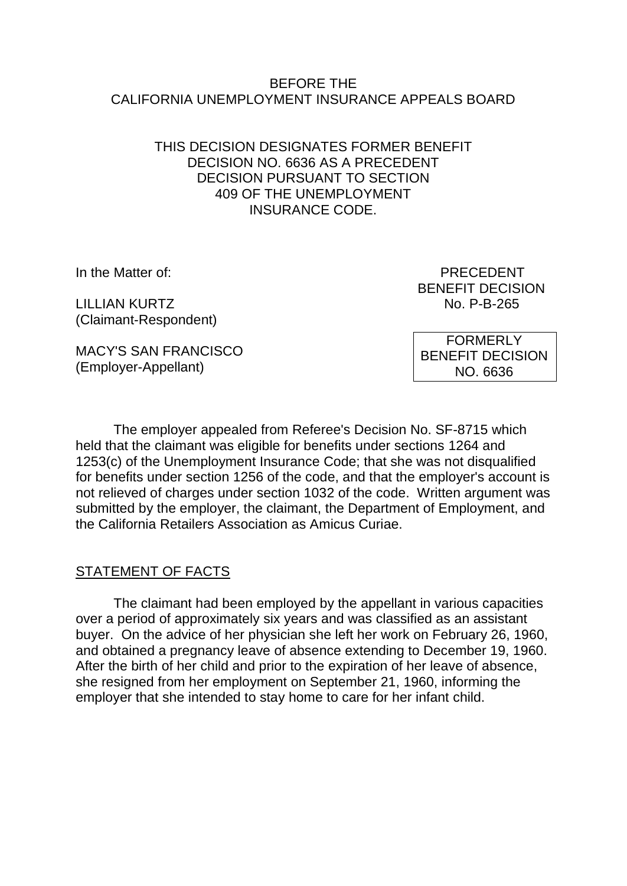### BEFORE THE CALIFORNIA UNEMPLOYMENT INSURANCE APPEALS BOARD

### THIS DECISION DESIGNATES FORMER BENEFIT DECISION NO. 6636 AS A PRECEDENT DECISION PURSUANT TO SECTION 409 OF THE UNEMPLOYMENT INSURANCE CODE.

LILLIAN KURTZ No. P-B-265 (Claimant-Respondent)

MACY'S SAN FRANCISCO (Employer-Appellant)

In the Matter of: PRECEDENT BENEFIT DECISION

> FORMERLY BENEFIT DECISION NO. 6636

The employer appealed from Referee's Decision No. SF-8715 which held that the claimant was eligible for benefits under sections 1264 and 1253(c) of the Unemployment Insurance Code; that she was not disqualified for benefits under section 1256 of the code, and that the employer's account is not relieved of charges under section 1032 of the code. Written argument was submitted by the employer, the claimant, the Department of Employment, and the California Retailers Association as Amicus Curiae.

# STATEMENT OF FACTS

The claimant had been employed by the appellant in various capacities over a period of approximately six years and was classified as an assistant buyer. On the advice of her physician she left her work on February 26, 1960, and obtained a pregnancy leave of absence extending to December 19, 1960. After the birth of her child and prior to the expiration of her leave of absence, she resigned from her employment on September 21, 1960, informing the employer that she intended to stay home to care for her infant child.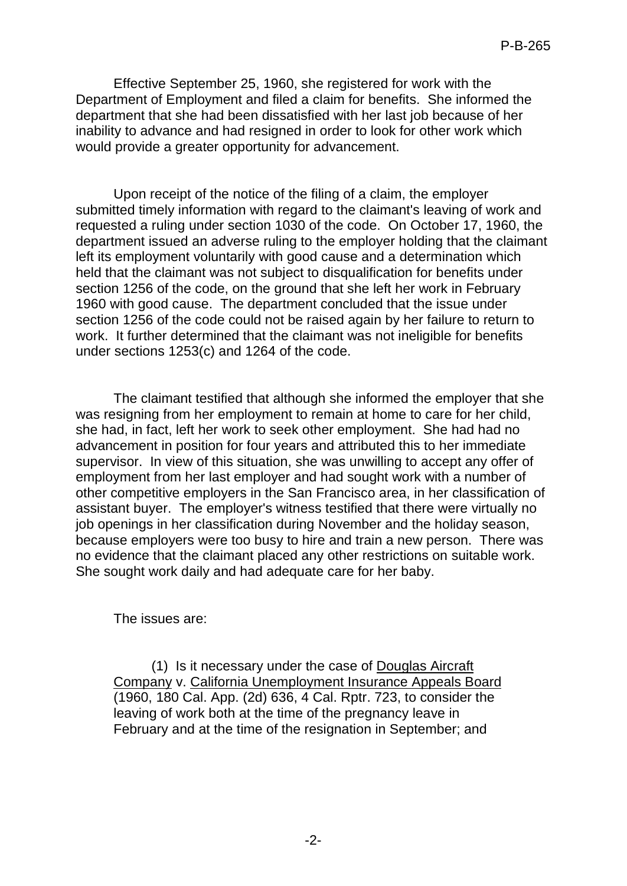Effective September 25, 1960, she registered for work with the Department of Employment and filed a claim for benefits. She informed the department that she had been dissatisfied with her last job because of her inability to advance and had resigned in order to look for other work which would provide a greater opportunity for advancement.

Upon receipt of the notice of the filing of a claim, the employer submitted timely information with regard to the claimant's leaving of work and requested a ruling under section 1030 of the code. On October 17, 1960, the department issued an adverse ruling to the employer holding that the claimant left its employment voluntarily with good cause and a determination which held that the claimant was not subject to disqualification for benefits under section 1256 of the code, on the ground that she left her work in February 1960 with good cause. The department concluded that the issue under section 1256 of the code could not be raised again by her failure to return to work. It further determined that the claimant was not ineligible for benefits under sections 1253(c) and 1264 of the code.

The claimant testified that although she informed the employer that she was resigning from her employment to remain at home to care for her child, she had, in fact, left her work to seek other employment. She had had no advancement in position for four years and attributed this to her immediate supervisor. In view of this situation, she was unwilling to accept any offer of employment from her last employer and had sought work with a number of other competitive employers in the San Francisco area, in her classification of assistant buyer. The employer's witness testified that there were virtually no job openings in her classification during November and the holiday season, because employers were too busy to hire and train a new person. There was no evidence that the claimant placed any other restrictions on suitable work. She sought work daily and had adequate care for her baby.

The issues are:

(1) Is it necessary under the case of Douglas Aircraft Company v. California Unemployment Insurance Appeals Board (1960, 180 Cal. App. (2d) 636, 4 Cal. Rptr. 723, to consider the leaving of work both at the time of the pregnancy leave in February and at the time of the resignation in September; and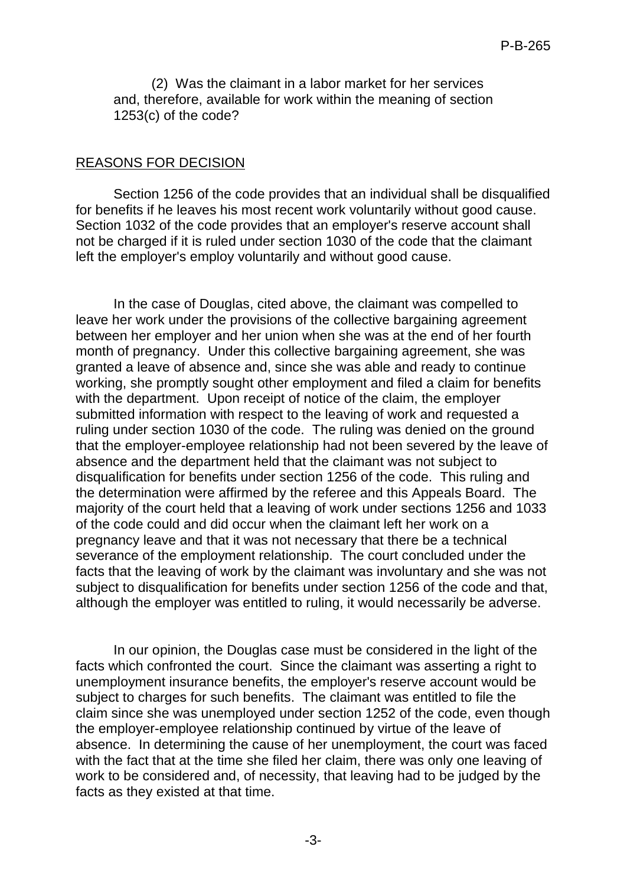(2) Was the claimant in a labor market for her services and, therefore, available for work within the meaning of section 1253(c) of the code?

#### REASONS FOR DECISION

Section 1256 of the code provides that an individual shall be disqualified for benefits if he leaves his most recent work voluntarily without good cause. Section 1032 of the code provides that an employer's reserve account shall not be charged if it is ruled under section 1030 of the code that the claimant left the employer's employ voluntarily and without good cause.

In the case of Douglas, cited above, the claimant was compelled to leave her work under the provisions of the collective bargaining agreement between her employer and her union when she was at the end of her fourth month of pregnancy. Under this collective bargaining agreement, she was granted a leave of absence and, since she was able and ready to continue working, she promptly sought other employment and filed a claim for benefits with the department. Upon receipt of notice of the claim, the employer submitted information with respect to the leaving of work and requested a ruling under section 1030 of the code. The ruling was denied on the ground that the employer-employee relationship had not been severed by the leave of absence and the department held that the claimant was not subject to disqualification for benefits under section 1256 of the code. This ruling and the determination were affirmed by the referee and this Appeals Board. The majority of the court held that a leaving of work under sections 1256 and 1033 of the code could and did occur when the claimant left her work on a pregnancy leave and that it was not necessary that there be a technical severance of the employment relationship. The court concluded under the facts that the leaving of work by the claimant was involuntary and she was not subject to disqualification for benefits under section 1256 of the code and that, although the employer was entitled to ruling, it would necessarily be adverse.

In our opinion, the Douglas case must be considered in the light of the facts which confronted the court. Since the claimant was asserting a right to unemployment insurance benefits, the employer's reserve account would be subject to charges for such benefits. The claimant was entitled to file the claim since she was unemployed under section 1252 of the code, even though the employer-employee relationship continued by virtue of the leave of absence. In determining the cause of her unemployment, the court was faced with the fact that at the time she filed her claim, there was only one leaving of work to be considered and, of necessity, that leaving had to be judged by the facts as they existed at that time.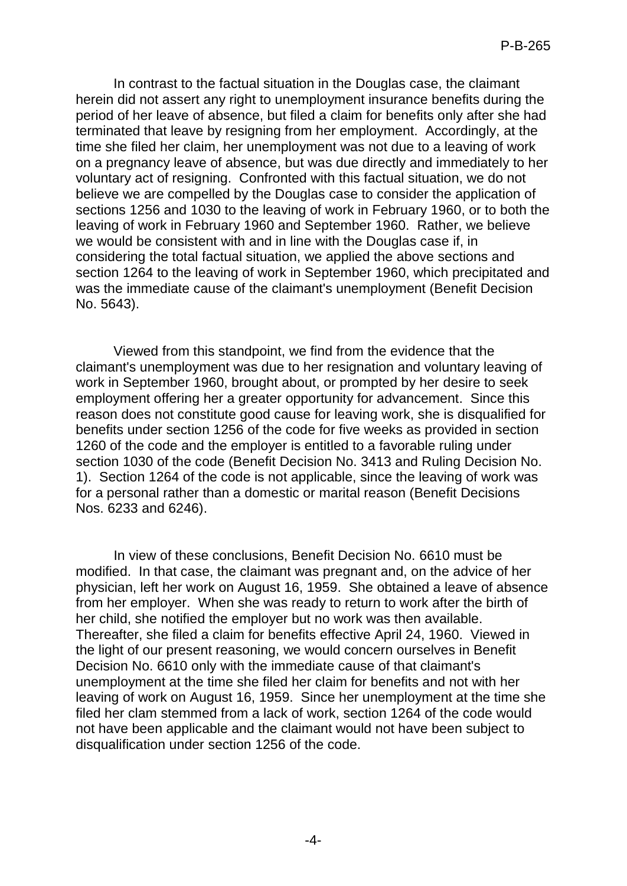In contrast to the factual situation in the Douglas case, the claimant herein did not assert any right to unemployment insurance benefits during the period of her leave of absence, but filed a claim for benefits only after she had terminated that leave by resigning from her employment. Accordingly, at the time she filed her claim, her unemployment was not due to a leaving of work on a pregnancy leave of absence, but was due directly and immediately to her voluntary act of resigning. Confronted with this factual situation, we do not believe we are compelled by the Douglas case to consider the application of sections 1256 and 1030 to the leaving of work in February 1960, or to both the leaving of work in February 1960 and September 1960. Rather, we believe we would be consistent with and in line with the Douglas case if, in considering the total factual situation, we applied the above sections and section 1264 to the leaving of work in September 1960, which precipitated and was the immediate cause of the claimant's unemployment (Benefit Decision No. 5643).

Viewed from this standpoint, we find from the evidence that the claimant's unemployment was due to her resignation and voluntary leaving of work in September 1960, brought about, or prompted by her desire to seek employment offering her a greater opportunity for advancement. Since this reason does not constitute good cause for leaving work, she is disqualified for benefits under section 1256 of the code for five weeks as provided in section 1260 of the code and the employer is entitled to a favorable ruling under section 1030 of the code (Benefit Decision No. 3413 and Ruling Decision No. 1). Section 1264 of the code is not applicable, since the leaving of work was for a personal rather than a domestic or marital reason (Benefit Decisions Nos. 6233 and 6246).

In view of these conclusions, Benefit Decision No. 6610 must be modified. In that case, the claimant was pregnant and, on the advice of her physician, left her work on August 16, 1959. She obtained a leave of absence from her employer. When she was ready to return to work after the birth of her child, she notified the employer but no work was then available. Thereafter, she filed a claim for benefits effective April 24, 1960. Viewed in the light of our present reasoning, we would concern ourselves in Benefit Decision No. 6610 only with the immediate cause of that claimant's unemployment at the time she filed her claim for benefits and not with her leaving of work on August 16, 1959. Since her unemployment at the time she filed her clam stemmed from a lack of work, section 1264 of the code would not have been applicable and the claimant would not have been subject to disqualification under section 1256 of the code.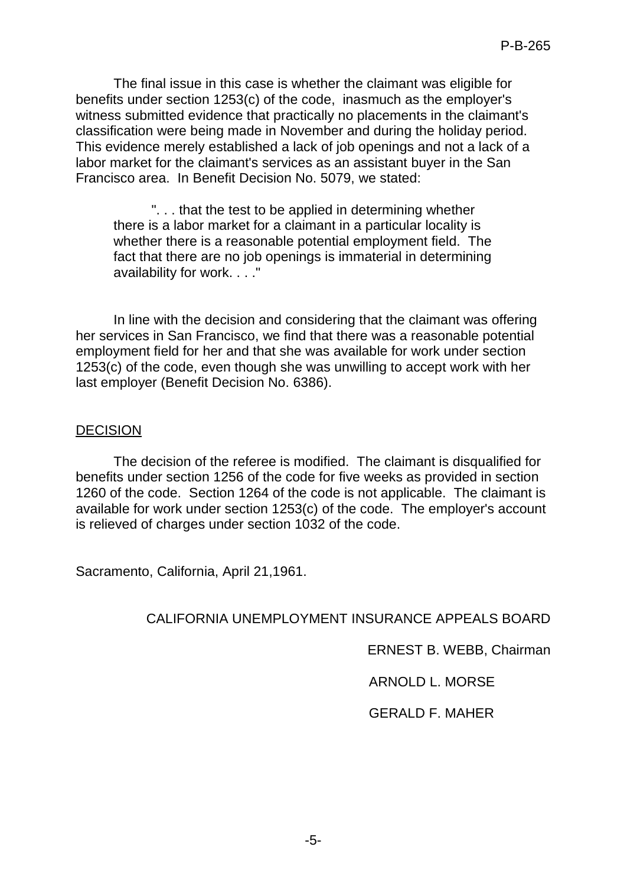The final issue in this case is whether the claimant was eligible for benefits under section 1253(c) of the code, inasmuch as the employer's witness submitted evidence that practically no placements in the claimant's classification were being made in November and during the holiday period. This evidence merely established a lack of job openings and not a lack of a labor market for the claimant's services as an assistant buyer in the San Francisco area. In Benefit Decision No. 5079, we stated:

". . . that the test to be applied in determining whether there is a labor market for a claimant in a particular locality is whether there is a reasonable potential employment field. The fact that there are no job openings is immaterial in determining availability for work. . . ."

In line with the decision and considering that the claimant was offering her services in San Francisco, we find that there was a reasonable potential employment field for her and that she was available for work under section 1253(c) of the code, even though she was unwilling to accept work with her last employer (Benefit Decision No. 6386).

### DECISION

The decision of the referee is modified. The claimant is disqualified for benefits under section 1256 of the code for five weeks as provided in section 1260 of the code. Section 1264 of the code is not applicable. The claimant is available for work under section 1253(c) of the code. The employer's account is relieved of charges under section 1032 of the code.

Sacramento, California, April 21,1961.

# CALIFORNIA UNEMPLOYMENT INSURANCE APPEALS BOARD

ERNEST B. WEBB, Chairman

# ARNOLD L. MORSE

# GERALD F. MAHER